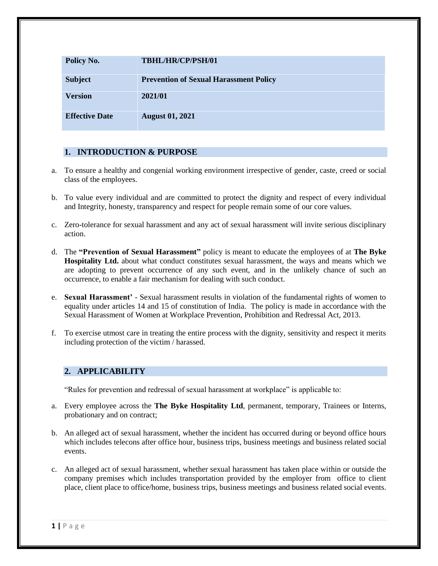| Policy No.            | TBHL/HR/CP/PSH/01                             |
|-----------------------|-----------------------------------------------|
| <b>Subject</b>        | <b>Prevention of Sexual Harassment Policy</b> |
| <b>Version</b>        | 2021/01                                       |
| <b>Effective Date</b> | <b>August 01, 2021</b>                        |

# **1. INTRODUCTION & PURPOSE**

- a. To ensure a healthy and congenial working environment irrespective of gender, caste, creed or social class of the employees.
- b. To value every individual and are committed to protect the dignity and respect of every individual and Integrity, honesty, transparency and respect for people remain some of our core values.
- c. Zero-tolerance for sexual harassment and any act of sexual harassment will invite serious disciplinary action.
- d. The **"Prevention of Sexual Harassment"** policy is meant to educate the employees of at **The Byke Hospitality Ltd.** about what conduct constitutes sexual harassment, the ways and means which we are adopting to prevent occurrence of any such event, and in the unlikely chance of such an occurrence, to enable a fair mechanism for dealing with such conduct.
- e. **Sexual Harassment'** Sexual harassment results in violation of the fundamental rights of women to equality under articles 14 and 15 of constitution of India. The policy is made in accordance with the Sexual Harassment of Women at Workplace Prevention, Prohibition and Redressal Act, 2013.
- f. To exercise utmost care in treating the entire process with the dignity, sensitivity and respect it merits including protection of the victim / harassed.

# **2. APPLICABILITY**

"Rules for prevention and redressal of sexual harassment at workplace" is applicable to:

- a. Every employee across the **The Byke Hospitality Ltd**, permanent, temporary, Trainees or Interns, probationary and on contract;
- b. An alleged act of sexual harassment, whether the incident has occurred during or beyond office hours which includes telecons after office hour, business trips, business meetings and business related social events.
- c. An alleged act of sexual harassment, whether sexual harassment has taken place within or outside the company premises which includes transportation provided by the employer from office to client place, client place to office/home, business trips, business meetings and business related social events.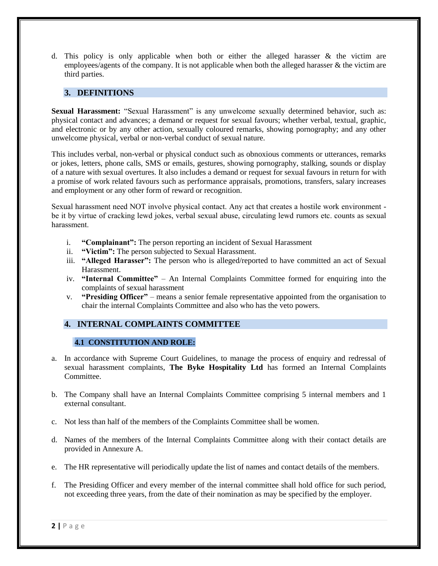d. This policy is only applicable when both or either the alleged harasser  $\&$  the victim are employees/agents of the company. It is not applicable when both the alleged harasser & the victim are third parties.

# **3. DEFINITIONS**

**Sexual Harassment:** "Sexual Harassment" is any unwelcome sexually determined behavior, such as: physical contact and advances; a demand or request for sexual favours; whether verbal, textual, graphic, and electronic or by any other action, sexually coloured remarks, showing pornography; and any other unwelcome physical, verbal or non-verbal conduct of sexual nature.

This includes verbal, non-verbal or physical conduct such as obnoxious comments or utterances, remarks or jokes, letters, phone calls, SMS or emails, gestures, showing pornography, stalking, sounds or display of a nature with sexual overtures. It also includes a demand or request for sexual favours in return for with a promise of work related favours such as performance appraisals, promotions, transfers, salary increases and employment or any other form of reward or recognition.

Sexual harassment need NOT involve physical contact. Any act that creates a hostile work environment be it by virtue of cracking lewd jokes, verbal sexual abuse, circulating lewd rumors etc. counts as sexual harassment.

- i. **"Complainant":** The person reporting an incident of Sexual Harassment
- ii. **"Victim":** The person subjected to Sexual Harassment.
- iii. **"Alleged Harasser":** The person who is alleged/reported to have committed an act of Sexual Harassment.
- iv. **"Internal Committee"** An Internal Complaints Committee formed for enquiring into the complaints of sexual harassment
- v. **"Presiding Officer"** means a senior female representative appointed from the organisation to chair the internal Complaints Committee and also who has the veto powers.

# **4. INTERNAL COMPLAINTS COMMITTEE**

## **4.1 CONSTITUTION AND ROLE:**

- a. In accordance with Supreme Court Guidelines, to manage the process of enquiry and redressal of sexual harassment complaints, **The Byke Hospitality Ltd** has formed an Internal Complaints **Committee**
- b. The Company shall have an Internal Complaints Committee comprising 5 internal members and 1 external consultant.
- c. Not less than half of the members of the Complaints Committee shall be women.
- d. Names of the members of the Internal Complaints Committee along with their contact details are provided in Annexure A.
- e. The HR representative will periodically update the list of names and contact details of the members.
- f. The Presiding Officer and every member of the internal committee shall hold office for such period, not exceeding three years, from the date of their nomination as may be specified by the employer.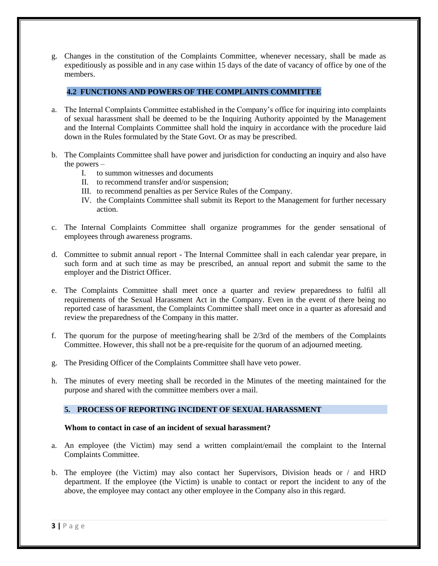g. Changes in the constitution of the Complaints Committee, whenever necessary, shall be made as expeditiously as possible and in any case within 15 days of the date of vacancy of office by one of the members.

# **4.2 FUNCTIONS AND POWERS OF THE COMPLAINTS COMMITTEE**

- a. The Internal Complaints Committee established in the Company's office for inquiring into complaints of sexual harassment shall be deemed to be the Inquiring Authority appointed by the Management and the Internal Complaints Committee shall hold the inquiry in accordance with the procedure laid down in the Rules formulated by the State Govt. Or as may be prescribed.
- b. The Complaints Committee shall have power and jurisdiction for conducting an inquiry and also have the powers –
	- I. to summon witnesses and documents
	- II. to recommend transfer and/or suspension;
	- III. to recommend penalties as per Service Rules of the Company.
	- IV. the Complaints Committee shall submit its Report to the Management for further necessary action.
- c. The Internal Complaints Committee shall organize programmes for the gender sensational of employees through awareness programs.
- d. Committee to submit annual report The Internal Committee shall in each calendar year prepare, in such form and at such time as may be prescribed, an annual report and submit the same to the employer and the District Officer.
- e. The Complaints Committee shall meet once a quarter and review preparedness to fulfil all requirements of the Sexual Harassment Act in the Company. Even in the event of there being no reported case of harassment, the Complaints Committee shall meet once in a quarter as aforesaid and review the preparedness of the Company in this matter.
- f. The quorum for the purpose of meeting/hearing shall be 2/3rd of the members of the Complaints Committee. However, this shall not be a pre-requisite for the quorum of an adjourned meeting.
- g. The Presiding Officer of the Complaints Committee shall have veto power.
- h. The minutes of every meeting shall be recorded in the Minutes of the meeting maintained for the purpose and shared with the committee members over a mail.

## **5. PROCESS OF REPORTING INCIDENT OF SEXUAL HARASSMENT**

## **Whom to contact in case of an incident of sexual harassment?**

- a. An employee (the Victim) may send a written complaint/email the complaint to the Internal Complaints Committee.
- b. The employee (the Victim) may also contact her Supervisors, Division heads or / and HRD department. If the employee (the Victim) is unable to contact or report the incident to any of the above, the employee may contact any other employee in the Company also in this regard.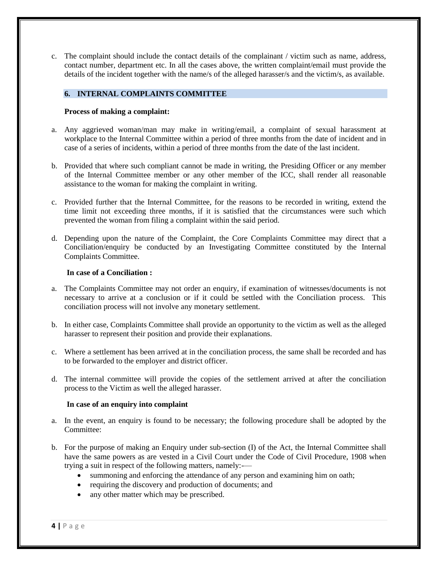c. The complaint should include the contact details of the complainant / victim such as name, address, contact number, department etc. In all the cases above, the written complaint/email must provide the details of the incident together with the name/s of the alleged harasser/s and the victim/s, as available.

## **6. INTERNAL COMPLAINTS COMMITTEE**

### **Process of making a complaint:**

- a. Any aggrieved woman/man may make in writing/email, a complaint of sexual harassment at workplace to the Internal Committee within a period of three months from the date of incident and in case of a series of incidents, within a period of three months from the date of the last incident.
- b. Provided that where such compliant cannot be made in writing, the Presiding Officer or any member of the Internal Committee member or any other member of the ICC, shall render all reasonable assistance to the woman for making the complaint in writing.
- c. Provided further that the Internal Committee, for the reasons to be recorded in writing, extend the time limit not exceeding three months, if it is satisfied that the circumstances were such which prevented the woman from filing a complaint within the said period.
- d. Depending upon the nature of the Complaint, the Core Complaints Committee may direct that a Conciliation/enquiry be conducted by an Investigating Committee constituted by the Internal Complaints Committee.

### **In case of a Conciliation :**

- a. The Complaints Committee may not order an enquiry, if examination of witnesses/documents is not necessary to arrive at a conclusion or if it could be settled with the Conciliation process. This conciliation process will not involve any monetary settlement.
- b. In either case, Complaints Committee shall provide an opportunity to the victim as well as the alleged harasser to represent their position and provide their explanations.
- c. Where a settlement has been arrived at in the conciliation process, the same shall be recorded and has to be forwarded to the employer and district officer.
- d. The internal committee will provide the copies of the settlement arrived at after the conciliation process to the Victim as well the alleged harasser.

#### **In case of an enquiry into complaint**

- a. In the event, an enquiry is found to be necessary; the following procedure shall be adopted by the Committee:
- b. For the purpose of making an Enquiry under sub-section (I) of the Act, the Internal Committee shall have the same powers as are vested in a Civil Court under the Code of Civil Procedure, 1908 when trying a suit in respect of the following matters, namely:-
	- summoning and enforcing the attendance of any person and examining him on oath;
	- requiring the discovery and production of documents; and
	- any other matter which may be prescribed.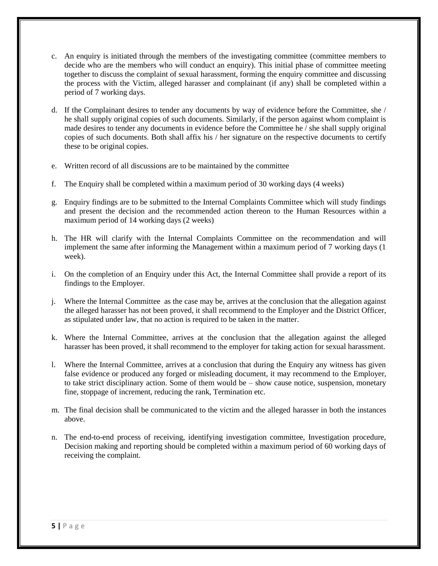- c. An enquiry is initiated through the members of the investigating committee (committee members to decide who are the members who will conduct an enquiry). This initial phase of committee meeting together to discuss the complaint of sexual harassment, forming the enquiry committee and discussing the process with the Victim, alleged harasser and complainant (if any) shall be completed within a period of 7 working days.
- d. If the Complainant desires to tender any documents by way of evidence before the Committee, she / he shall supply original copies of such documents. Similarly, if the person against whom complaint is made desires to tender any documents in evidence before the Committee he / she shall supply original copies of such documents. Both shall affix his / her signature on the respective documents to certify these to be original copies.
- e. Written record of all discussions are to be maintained by the committee
- f. The Enquiry shall be completed within a maximum period of 30 working days (4 weeks)
- g. Enquiry findings are to be submitted to the Internal Complaints Committee which will study findings and present the decision and the recommended action thereon to the Human Resources within a maximum period of 14 working days (2 weeks)
- h. The HR will clarify with the Internal Complaints Committee on the recommendation and will implement the same after informing the Management within a maximum period of 7 working days (1 week).
- i. On the completion of an Enquiry under this Act, the Internal Committee shall provide a report of its findings to the Employer.
- j. Where the Internal Committee as the case may be, arrives at the conclusion that the allegation against the alleged harasser has not been proved, it shall recommend to the Employer and the District Officer, as stipulated under law, that no action is required to be taken in the matter.
- k. Where the Internal Committee, arrives at the conclusion that the allegation against the alleged harasser has been proved, it shall recommend to the employer for taking action for sexual harassment.
- l. Where the Internal Committee, arrives at a conclusion that during the Enquiry any witness has given false evidence or produced any forged or misleading document, it may recommend to the Employer, to take strict disciplinary action. Some of them would be – show cause notice, suspension, monetary fine, stoppage of increment, reducing the rank, Termination etc.
- m. The final decision shall be communicated to the victim and the alleged harasser in both the instances above.
- n. The end-to-end process of receiving, identifying investigation committee, Investigation procedure, Decision making and reporting should be completed within a maximum period of 60 working days of receiving the complaint.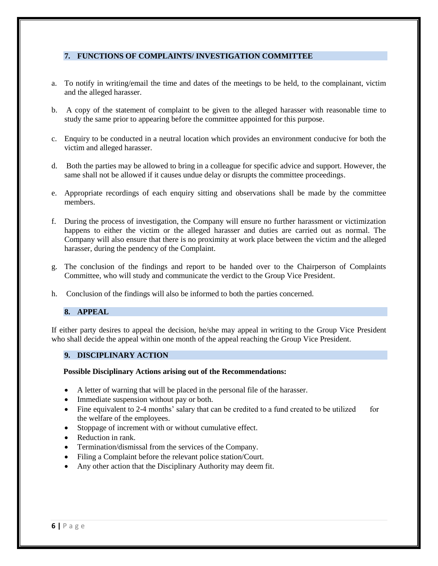## **7. FUNCTIONS OF COMPLAINTS/ INVESTIGATION COMMITTEE**

- a. To notify in writing/email the time and dates of the meetings to be held, to the complainant, victim and the alleged harasser.
- b. A copy of the statement of complaint to be given to the alleged harasser with reasonable time to study the same prior to appearing before the committee appointed for this purpose.
- c. Enquiry to be conducted in a neutral location which provides an environment conducive for both the victim and alleged harasser.
- d. Both the parties may be allowed to bring in a colleague for specific advice and support. However, the same shall not be allowed if it causes undue delay or disrupts the committee proceedings.
- e. Appropriate recordings of each enquiry sitting and observations shall be made by the committee members.
- f. During the process of investigation, the Company will ensure no further harassment or victimization happens to either the victim or the alleged harasser and duties are carried out as normal. The Company will also ensure that there is no proximity at work place between the victim and the alleged harasser, during the pendency of the Complaint.
- g. The conclusion of the findings and report to be handed over to the Chairperson of Complaints Committee, who will study and communicate the verdict to the Group Vice President.
- h. Conclusion of the findings will also be informed to both the parties concerned.

#### **8. APPEAL**

If either party desires to appeal the decision, he/she may appeal in writing to the Group Vice President who shall decide the appeal within one month of the appeal reaching the Group Vice President.

### **9. DISCIPLINARY ACTION**

**Possible Disciplinary Actions arising out of the Recommendations:**

- A letter of warning that will be placed in the personal file of the harasser.
- Immediate suspension without pay or both.
- Fine equivalent to 2-4 months' salary that can be credited to a fund created to be utilized for the welfare of the employees.
- Stoppage of increment with or without cumulative effect.
- Reduction in rank.
- Termination/dismissal from the services of the Company.
- Filing a Complaint before the relevant police station/Court.
- Any other action that the Disciplinary Authority may deem fit.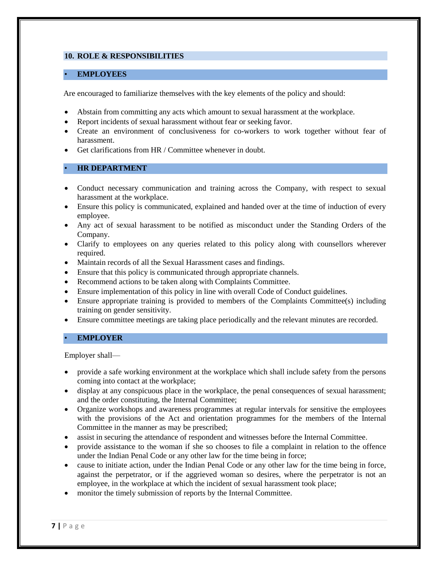## **10. ROLE & RESPONSIBILITIES**

### • **EMPLOYEES**

Are encouraged to familiarize themselves with the key elements of the policy and should:

- Abstain from committing any acts which amount to sexual harassment at the workplace.
- Report incidents of sexual harassment without fear or seeking favor.
- Create an environment of conclusiveness for co-workers to work together without fear of harassment.
- Get clarifications from HR / Committee whenever in doubt.

### • **HR DEPARTMENT**

- Conduct necessary communication and training across the Company, with respect to sexual harassment at the workplace.
- Ensure this policy is communicated, explained and handed over at the time of induction of every employee.
- Any act of sexual harassment to be notified as misconduct under the Standing Orders of the Company.
- Clarify to employees on any queries related to this policy along with counsellors wherever required.
- Maintain records of all the Sexual Harassment cases and findings.
- Ensure that this policy is communicated through appropriate channels.
- Recommend actions to be taken along with Complaints Committee.
- Ensure implementation of this policy in line with overall Code of Conduct guidelines.
- Ensure appropriate training is provided to members of the Complaints Committee(s) including training on gender sensitivity.
- Ensure committee meetings are taking place periodically and the relevant minutes are recorded.

## • **EMPLOYER**

Employer shall—

- provide a safe working environment at the workplace which shall include safety from the persons coming into contact at the workplace;
- display at any conspicuous place in the workplace, the penal consequences of sexual harassment; and the order constituting, the Internal Committee;
- Organize workshops and awareness programmes at regular intervals for sensitive the employees with the provisions of the Act and orientation programmes for the members of the Internal Committee in the manner as may be prescribed;
- assist in securing the attendance of respondent and witnesses before the Internal Committee.
- provide assistance to the woman if she so chooses to file a complaint in relation to the offence under the Indian Penal Code or any other law for the time being in force;
- cause to initiate action, under the Indian Penal Code or any other law for the time being in force, against the perpetrator, or if the aggrieved woman so desires, where the perpetrator is not an employee, in the workplace at which the incident of sexual harassment took place;
- monitor the timely submission of reports by the Internal Committee.